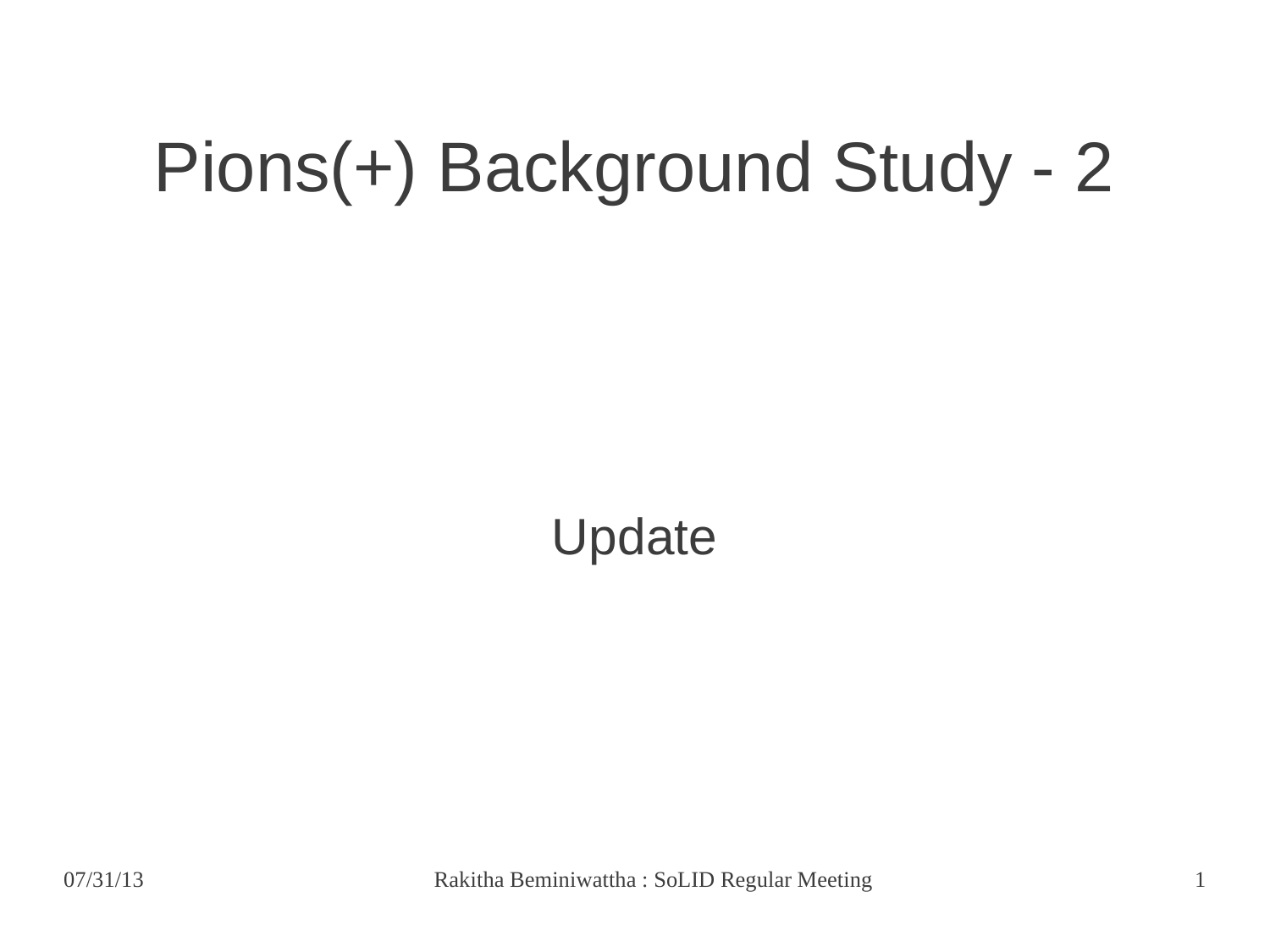## Pions(+) Background Study - 2

Update

07/31/13 Rakitha Beminiwattha : SoLID Regular Meeting 1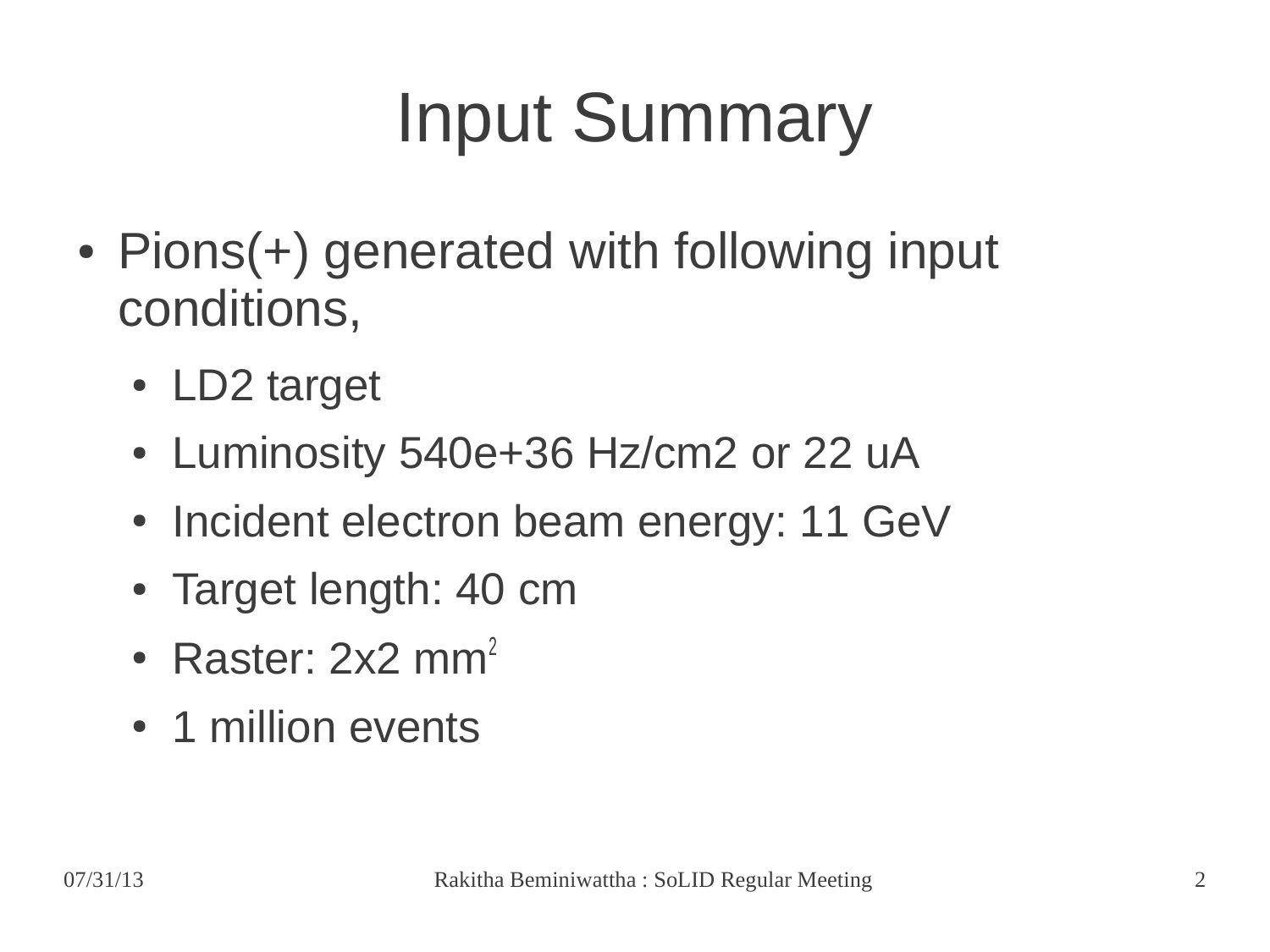# Input Summary

- Pions(+) generated with following input conditions,
	- LD2 target
	- Luminosity 540e+36 Hz/cm2 or 22 uA
	- Incident electron beam energy: 11 GeV
	- Target length: 40 cm
	- Raster:  $2x2$  mm<sup>2</sup>
	- 1 million events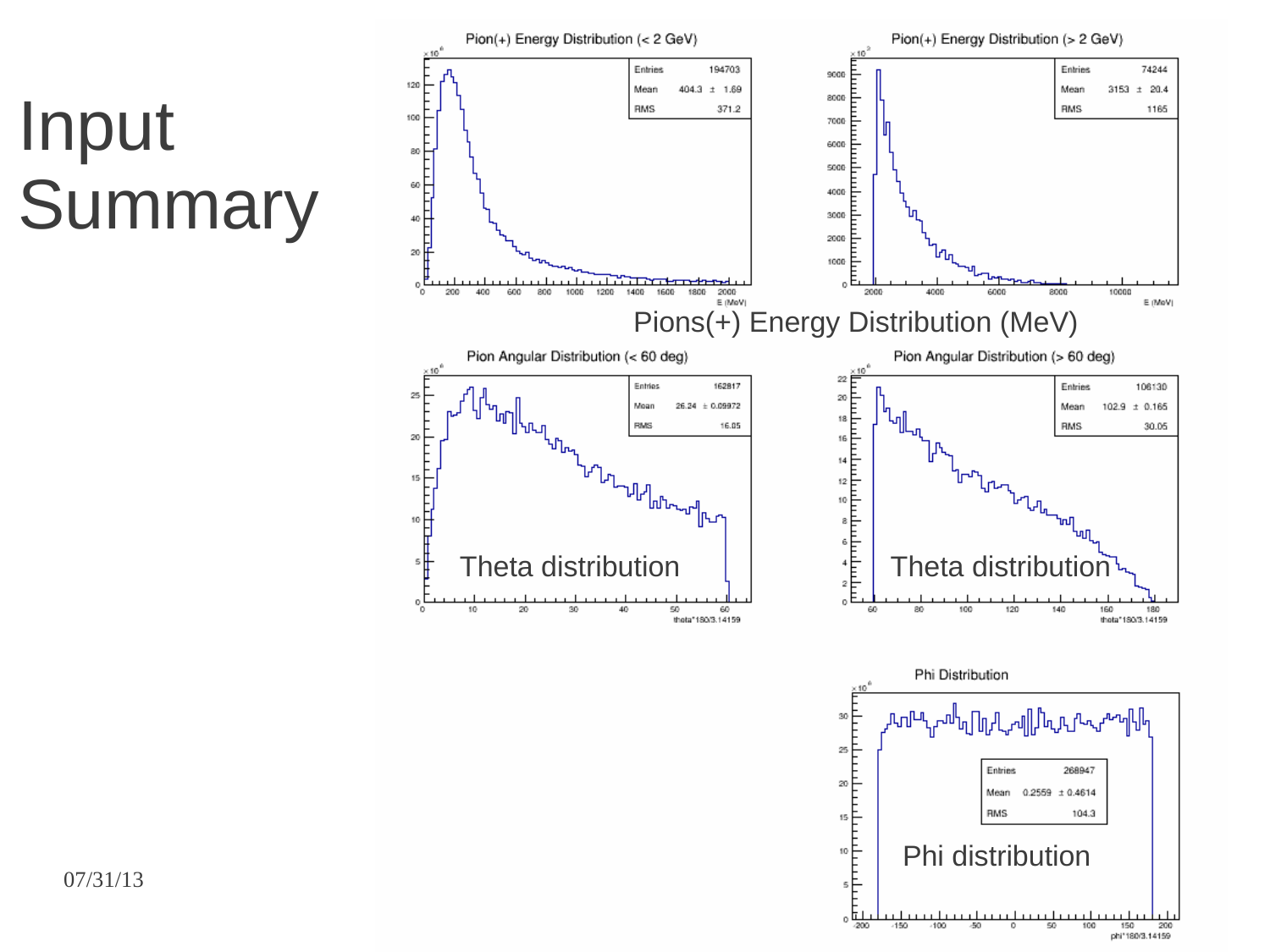### Input **Summary**

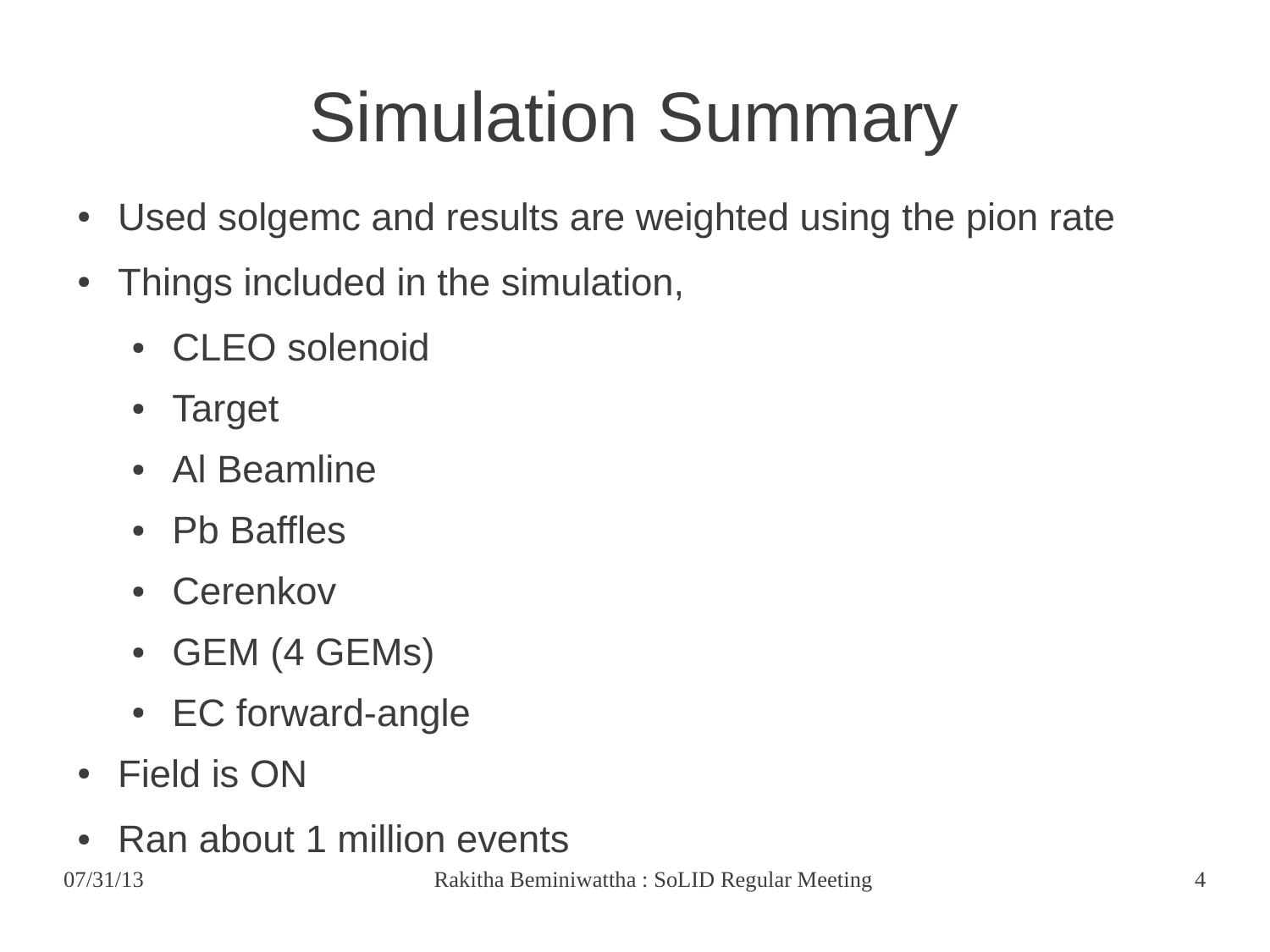# Simulation Summary

- Used solgemc and results are weighted using the pion rate
- Things included in the simulation,
	- CLEO solenoid
	- **Target**
	- Al Beamline
	- Pb Baffles
	- Cerenkov
	- GEM (4 GEMs)
	- EC forward-angle
- Field is ON
- Ran about 1 million events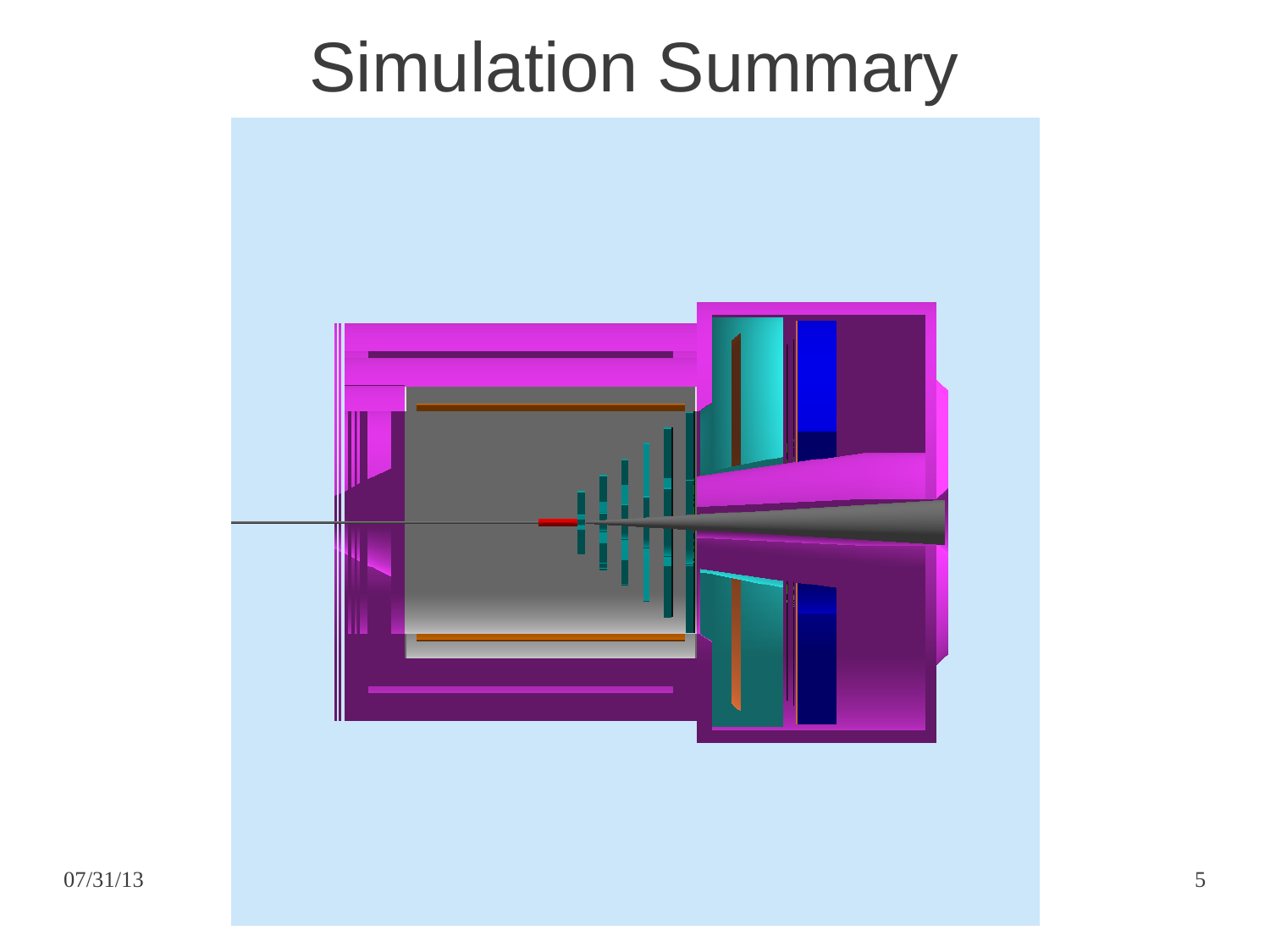### Simulation Summary

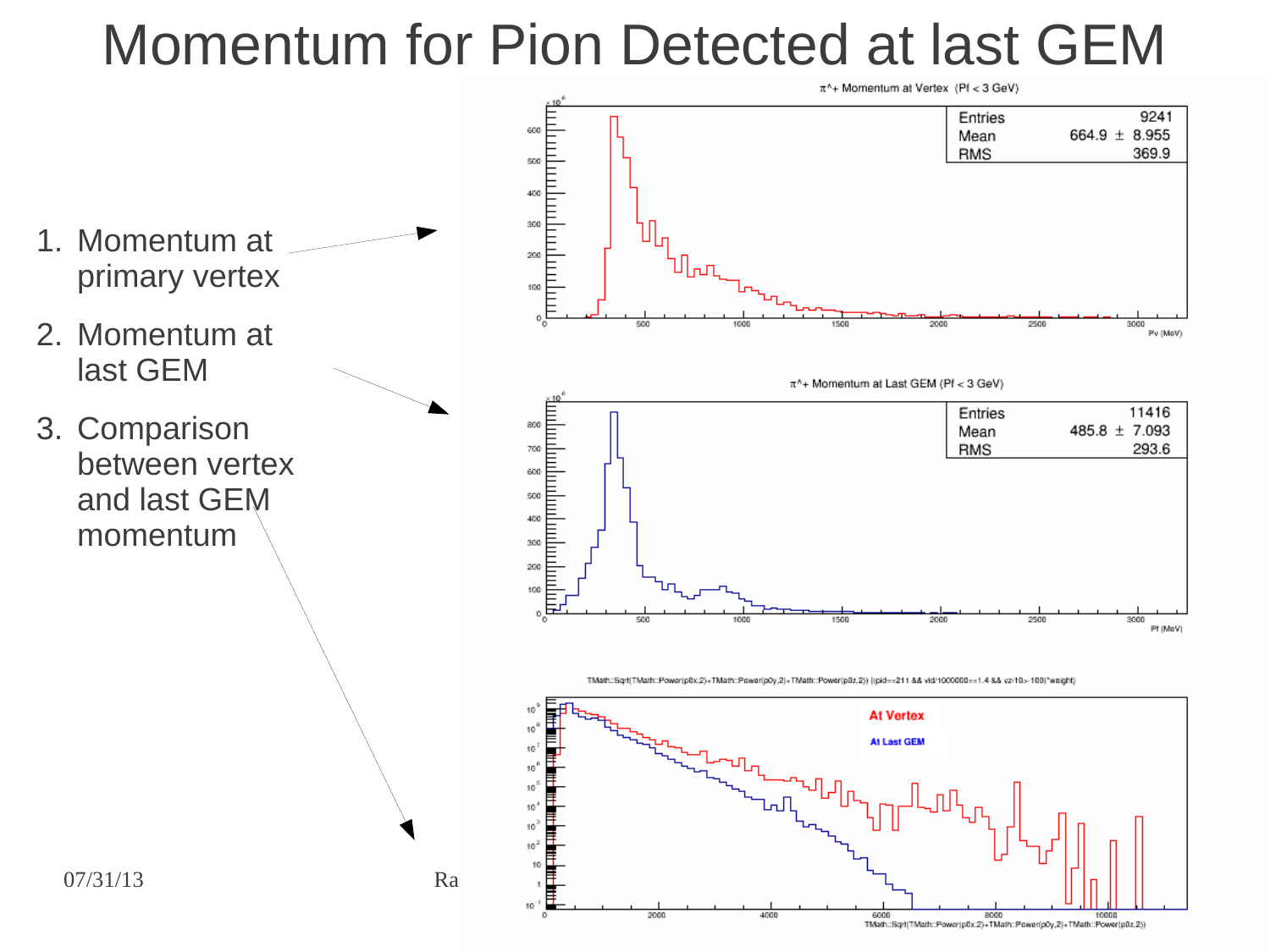### Momentum for Pion Detected at last GEM



6000 8000 8000 10000<br>TMath:Sqrt(TMath:Power)p0x,2)+TMath:Power(p0x,2)+TMath:Source/p0x,2)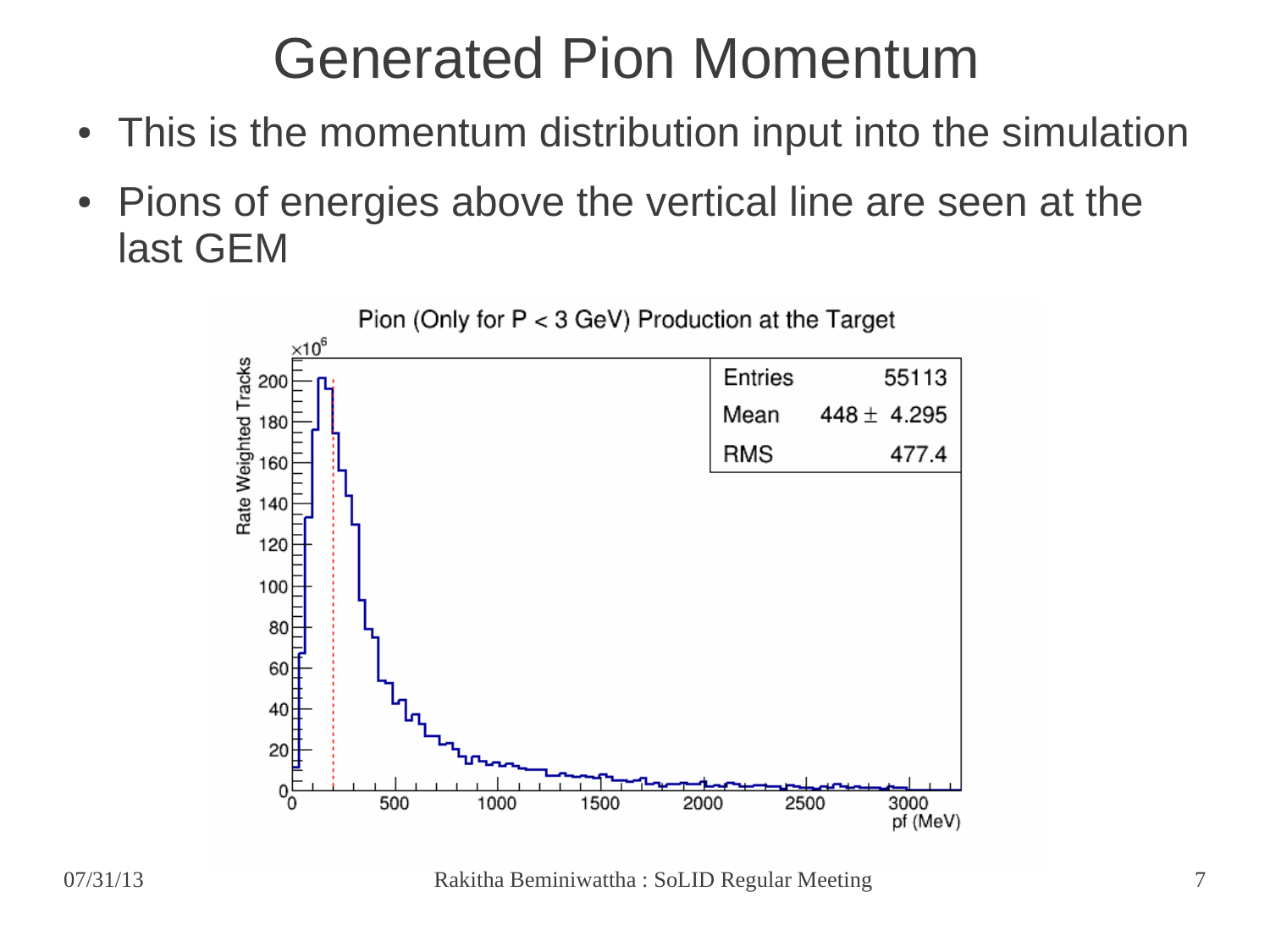### Generated Pion Momentum

- This is the momentum distribution input into the simulation
- Pions of energies above the vertical line are seen at the last GEM



07/31/13 Rakitha Beminiwattha : SoLID Regular Meeting 7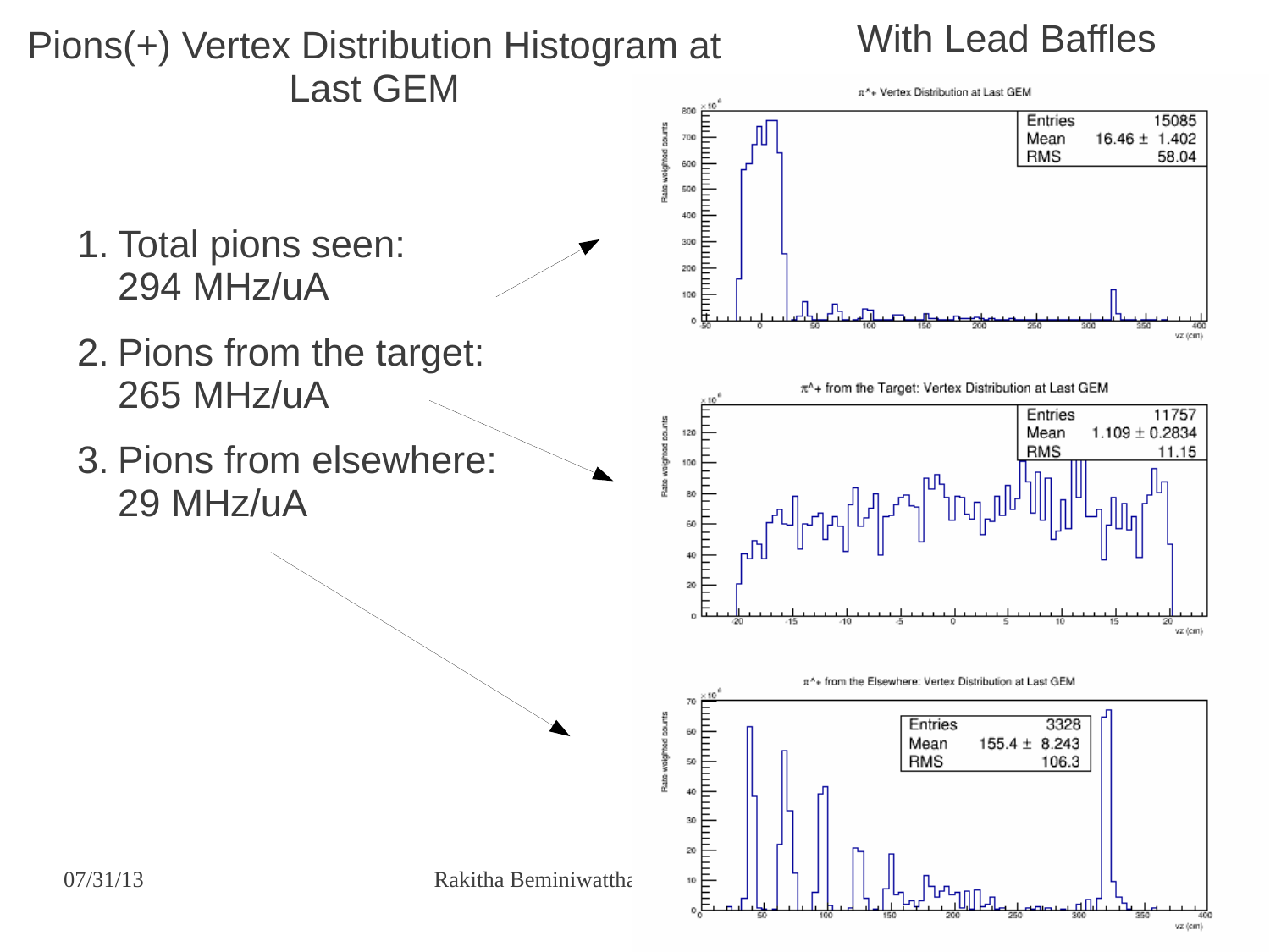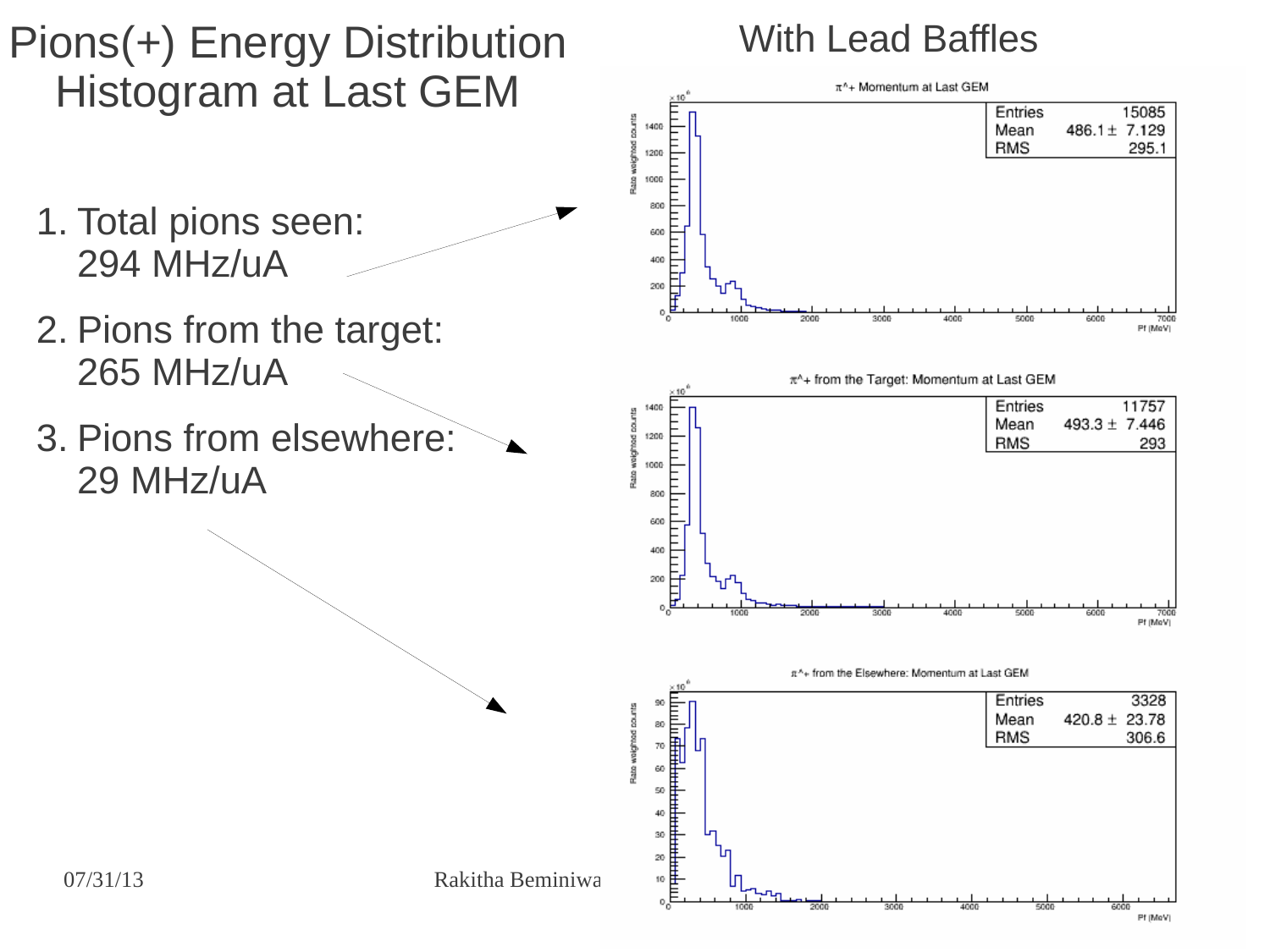### Pions(+) Energy Distribution Histogram at Last GEM

#### 1. Total pions seen: 294 MHz/uA

- 2. Pions from the target: 265 MHz/uA
- 3. Pions from elsewhere: 29 MHz/uA

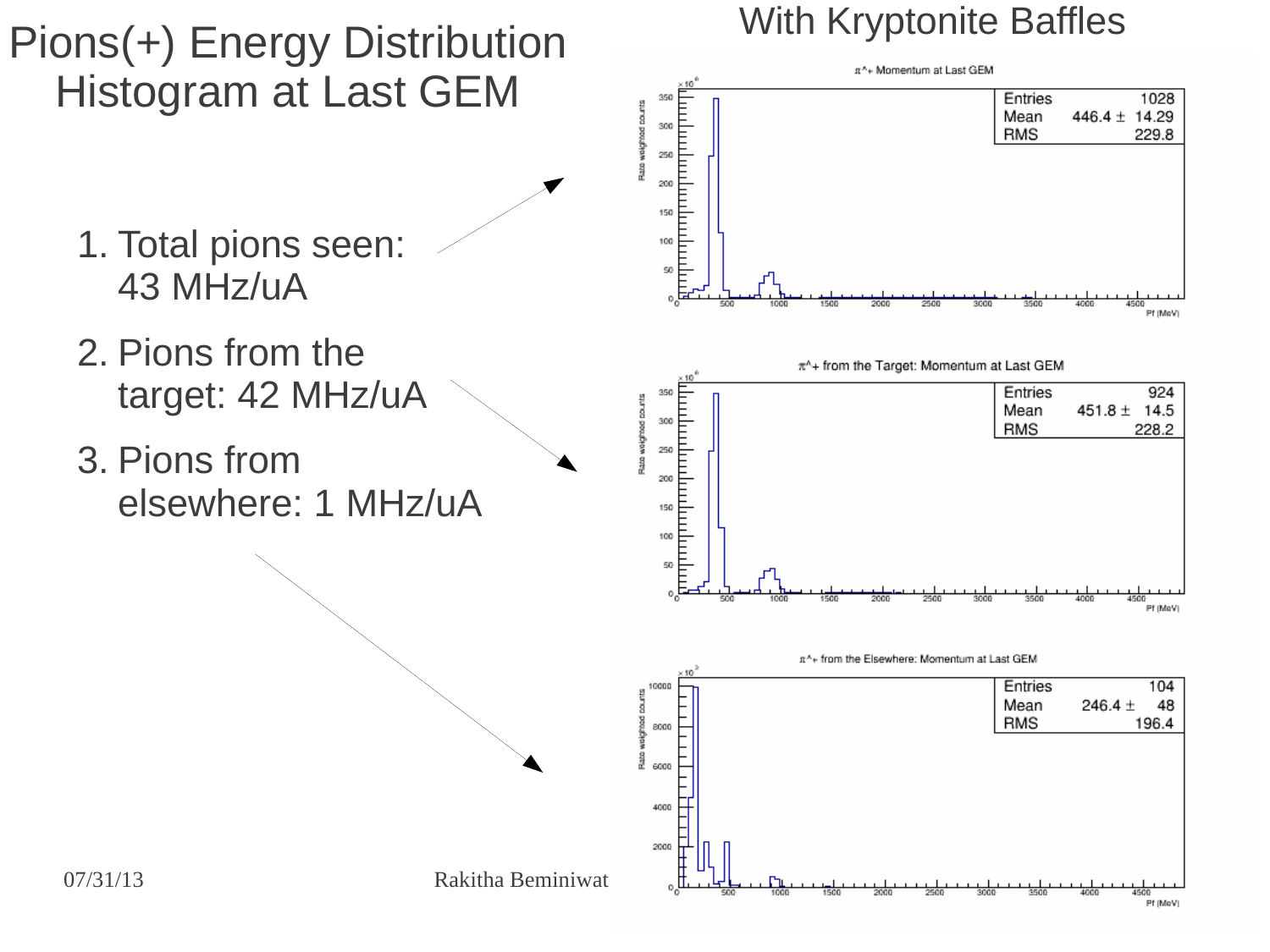### Pions(+) Energy Distribution Histogram at Last GEM

- 1. Total pions seen: 43 MHz/uA
- 2. Pions from the target: 42 MHz/uA
- 3. Pions from elsewhere: 1 MHz/uA







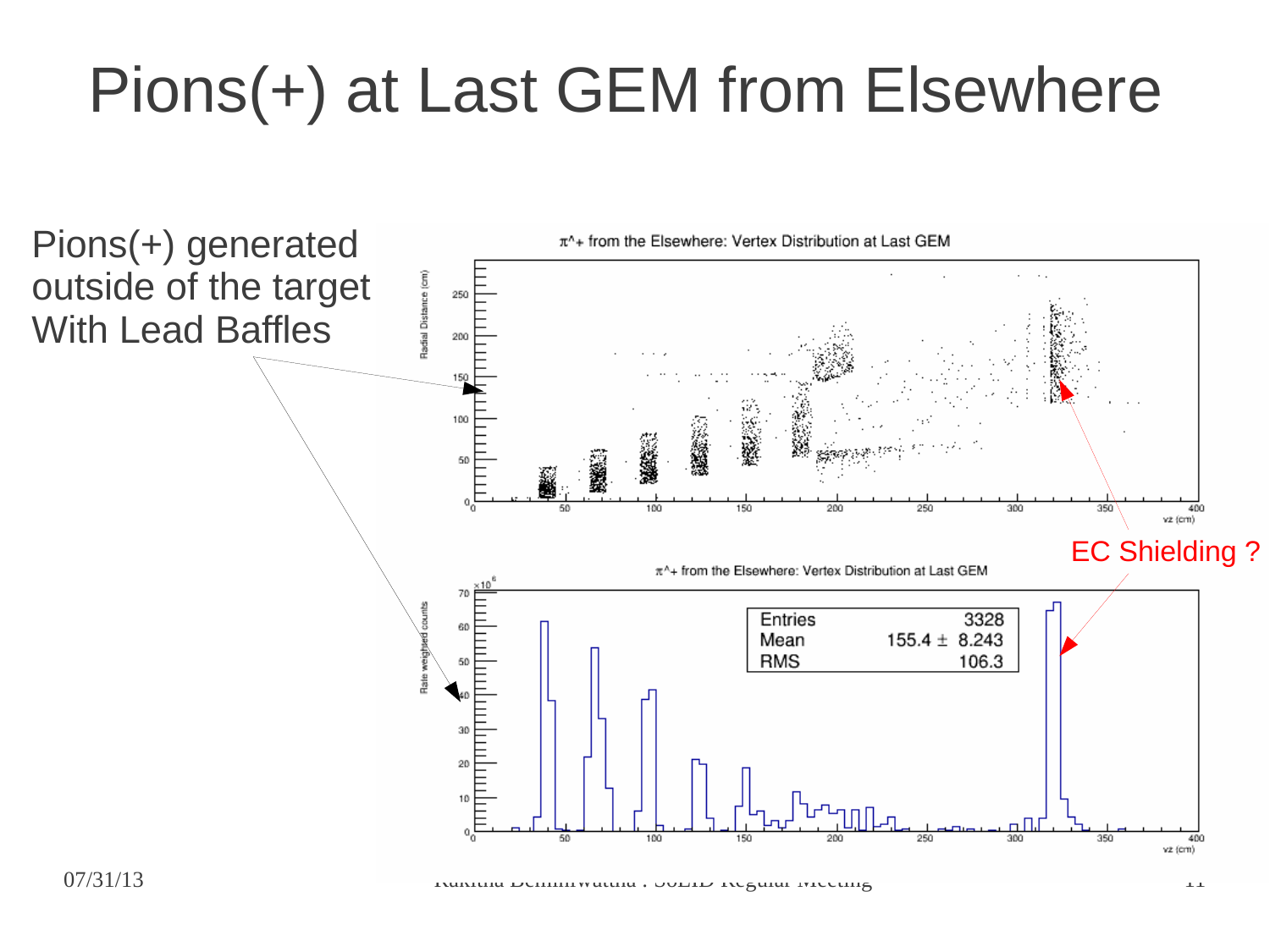### Pions(+) at Last GEM from Elsewhere

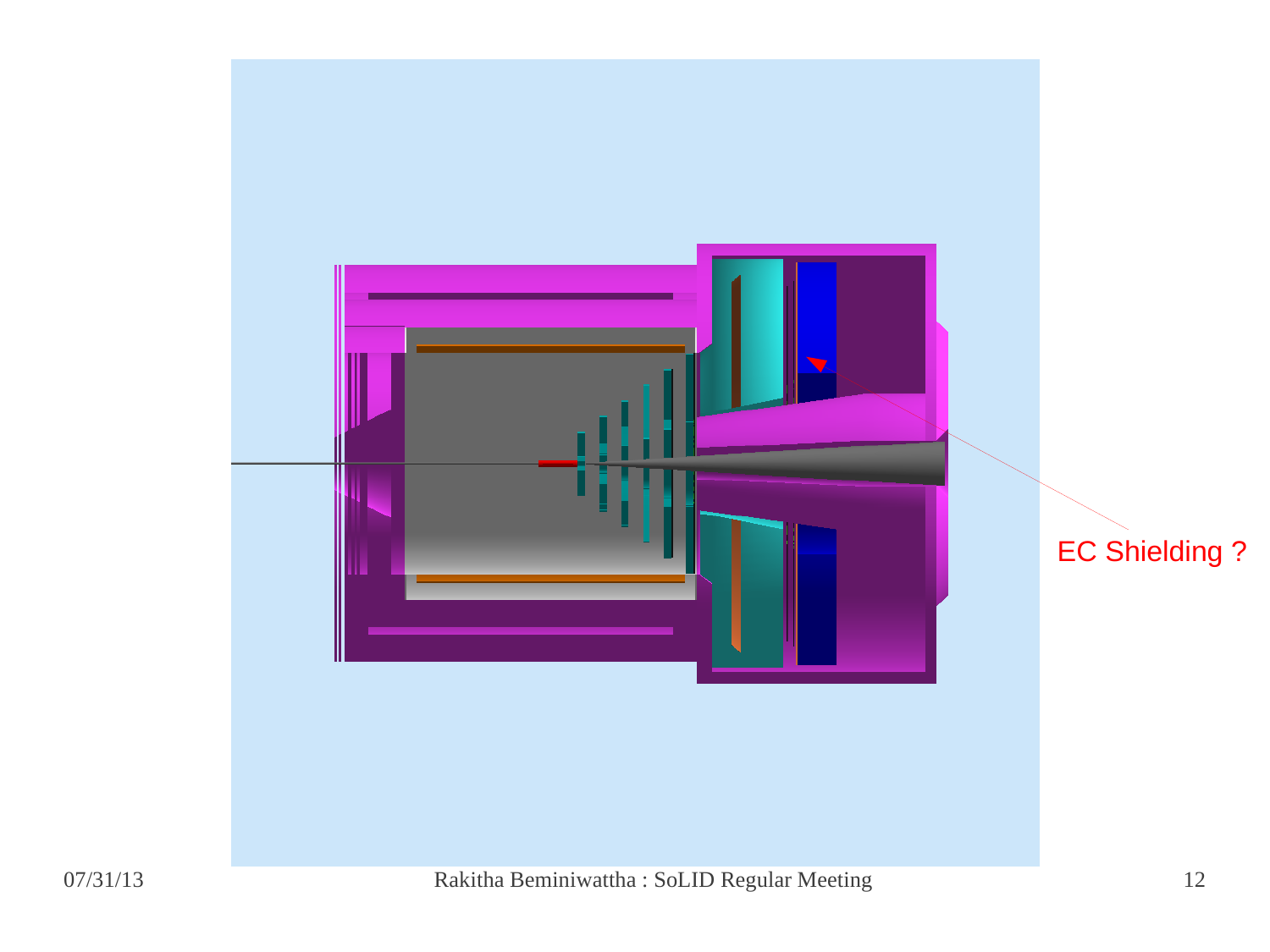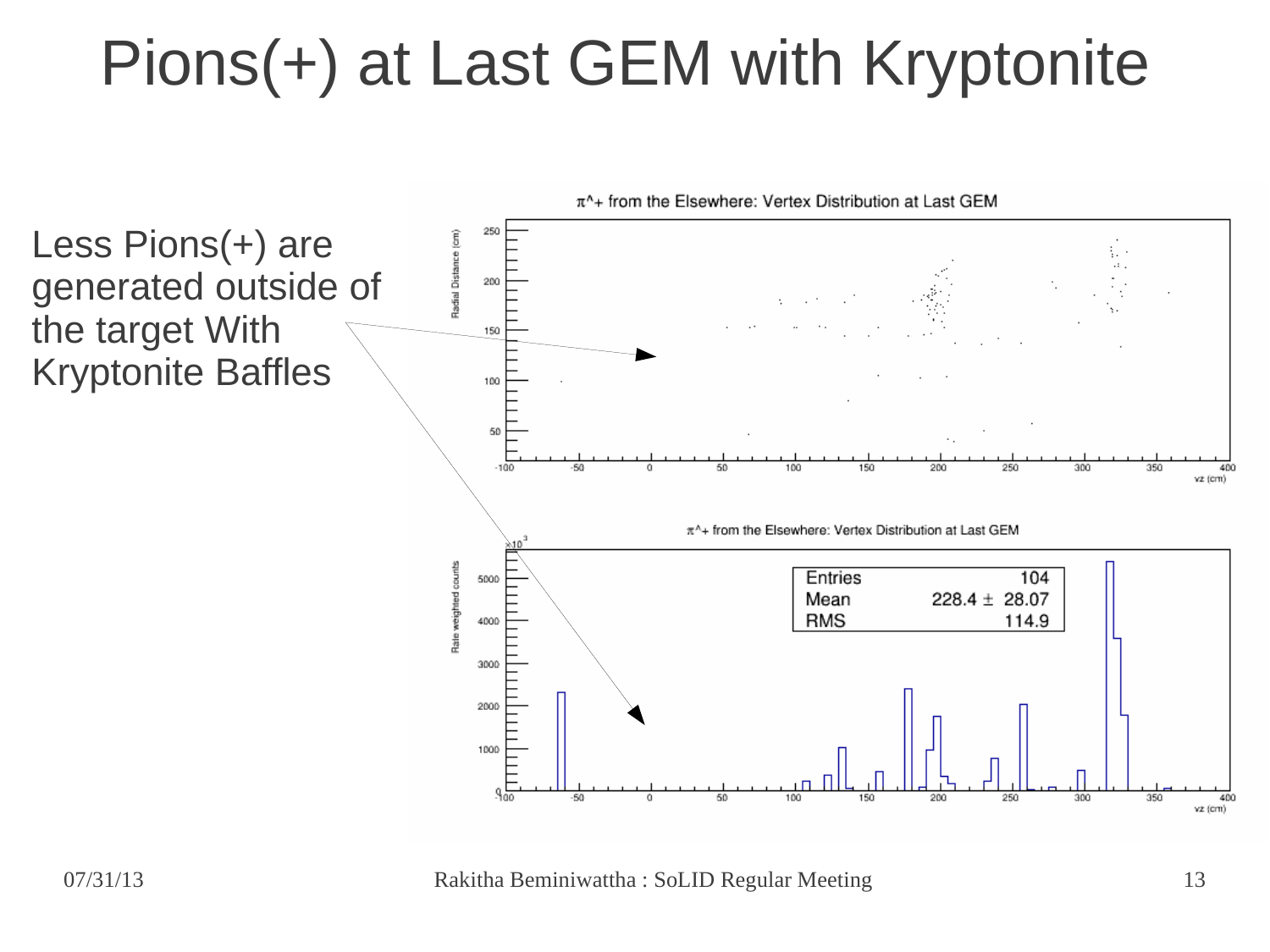### Pions(+) at Last GEM with Kryptonite



07/31/13 Rakitha Beminiwattha : SoLID Regular Meeting 13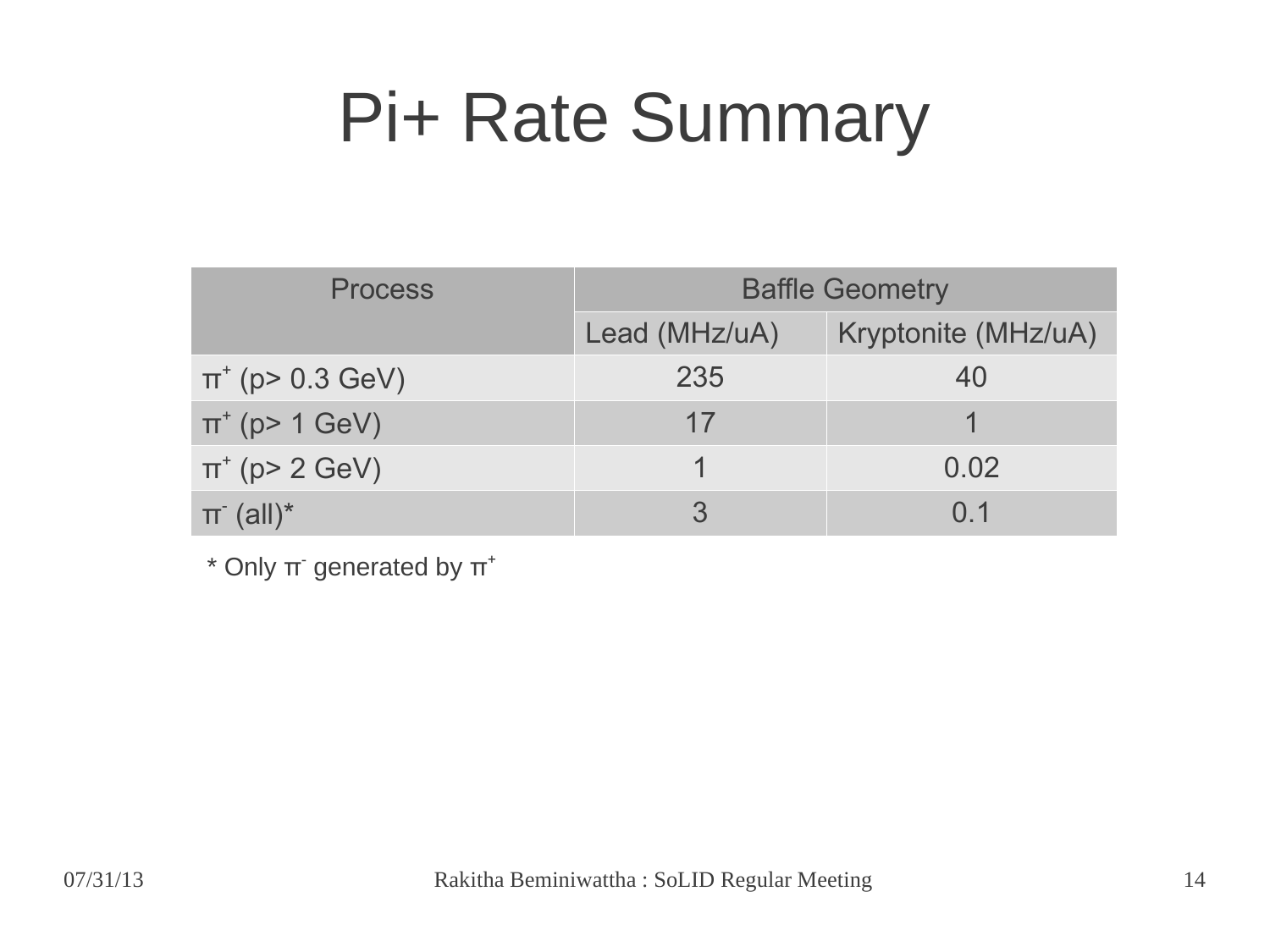### Pi+ Rate Summary

| <b>Process</b>           | <b>Baffle Geometry</b> |                     |
|--------------------------|------------------------|---------------------|
|                          | Lead (MHz/uA)          | Kryptonite (MHz/uA) |
| $\pi^{+}$ (p> 0.3 GeV)   | 235                    | 40                  |
| $\pi^{+}$ (p> 1 GeV)     | 17                     |                     |
| $\pi^{+}$ (p> 2 GeV)     |                        | 0.02                |
| $\pi$ (all) <sup>*</sup> |                        | $\Omega$ 1          |

 $*$  Only  $\pi$ <sup>-</sup> generated by  $\pi$ <sup>+</sup>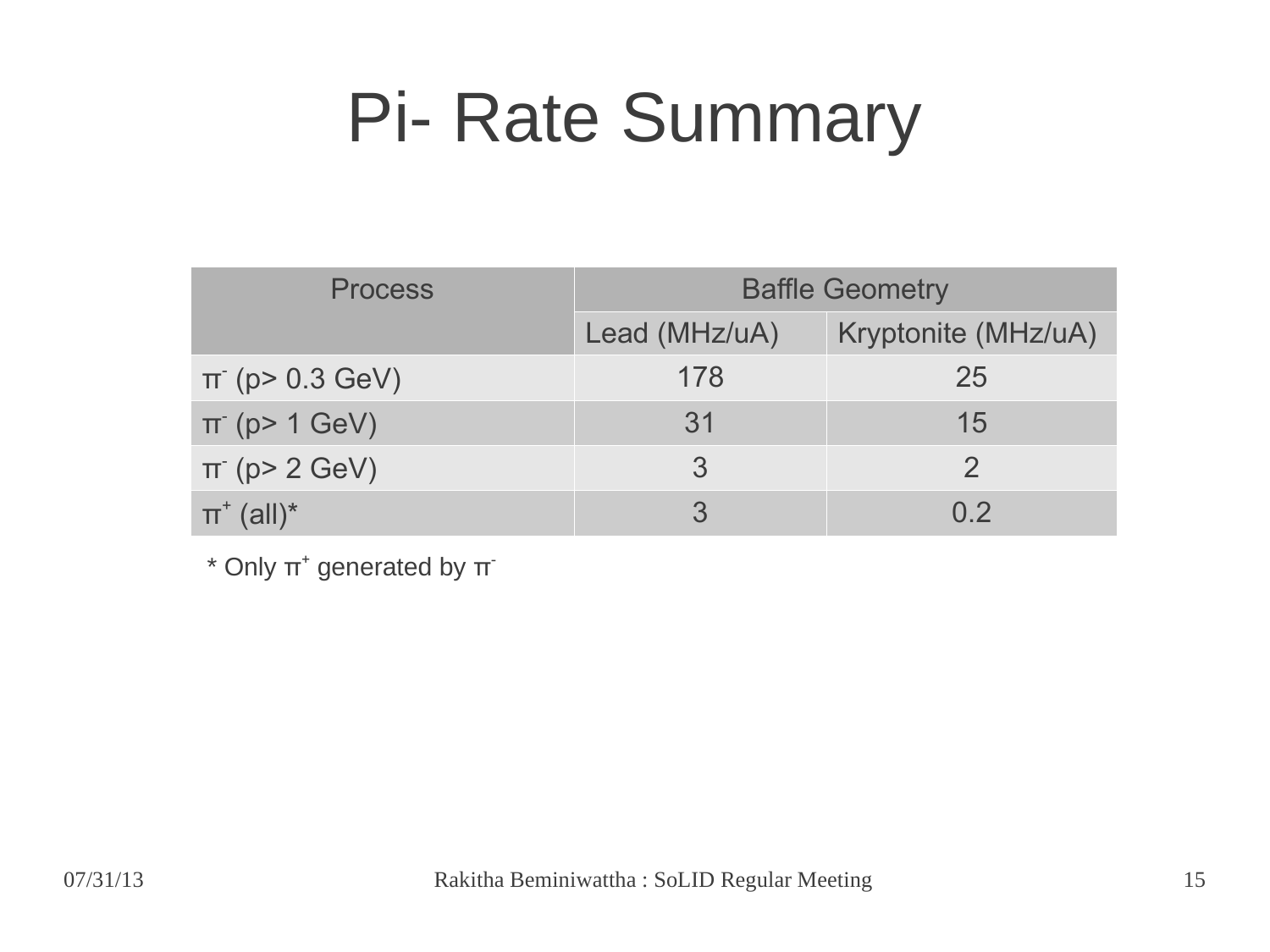### Pi- Rate Summary

| <b>Process</b>             | <b>Baffle Geometry</b> |                     |
|----------------------------|------------------------|---------------------|
|                            | Lead (MHz/uA)          | Kryptonite (MHz/uA) |
| $\pi$ (p > 0.3 GeV)        | 178                    | 25                  |
| $\pi$ (p> 1 GeV)           | 31                     | 15                  |
| $\pi$ (p> 2 GeV)           | 3                      |                     |
| $\pi^*$ (all) <sup>*</sup> |                        | 0 <sub>2</sub>      |

 $*$  Only  $\pi^*$  generated by  $\pi^*$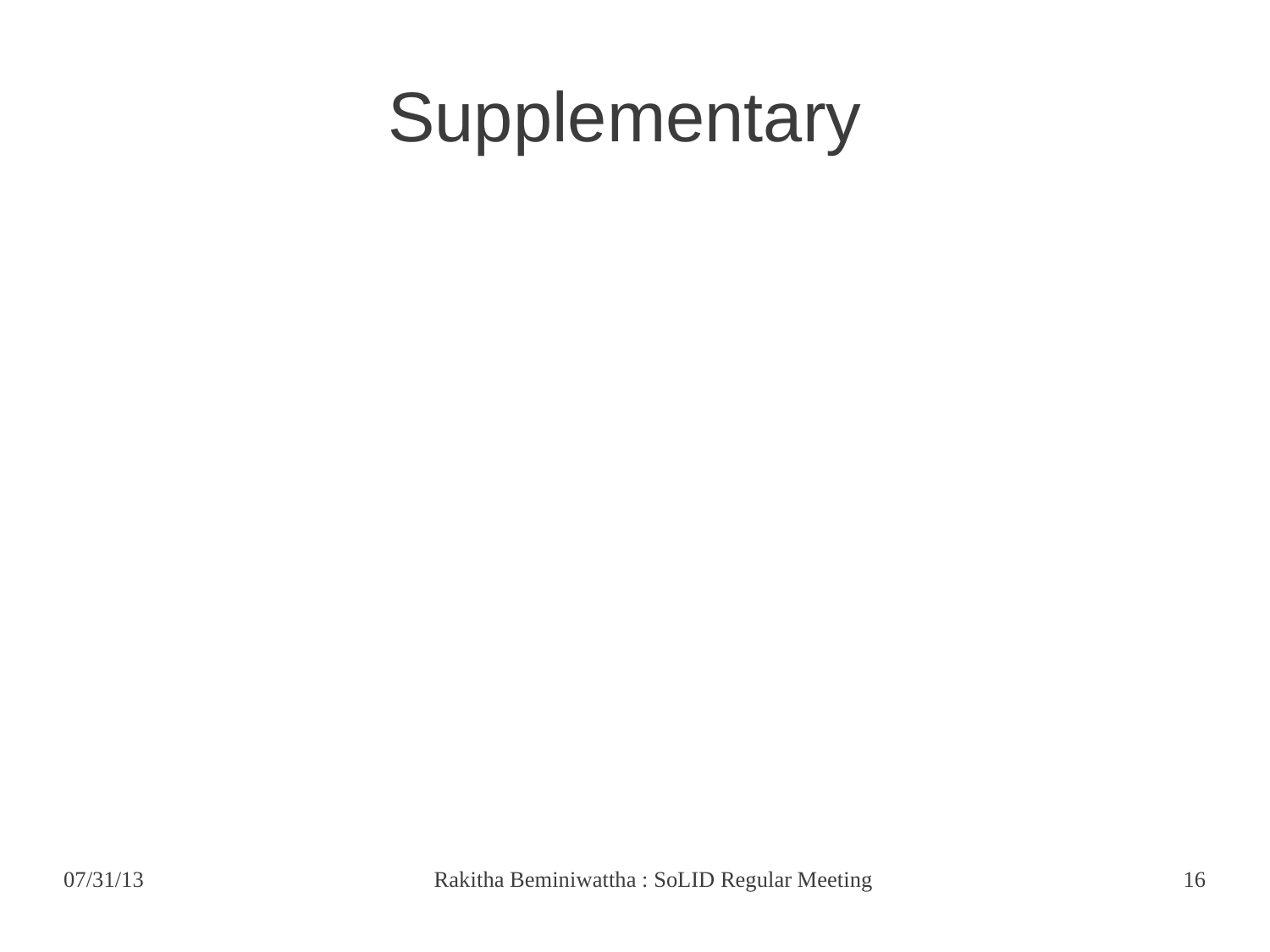### Supplementary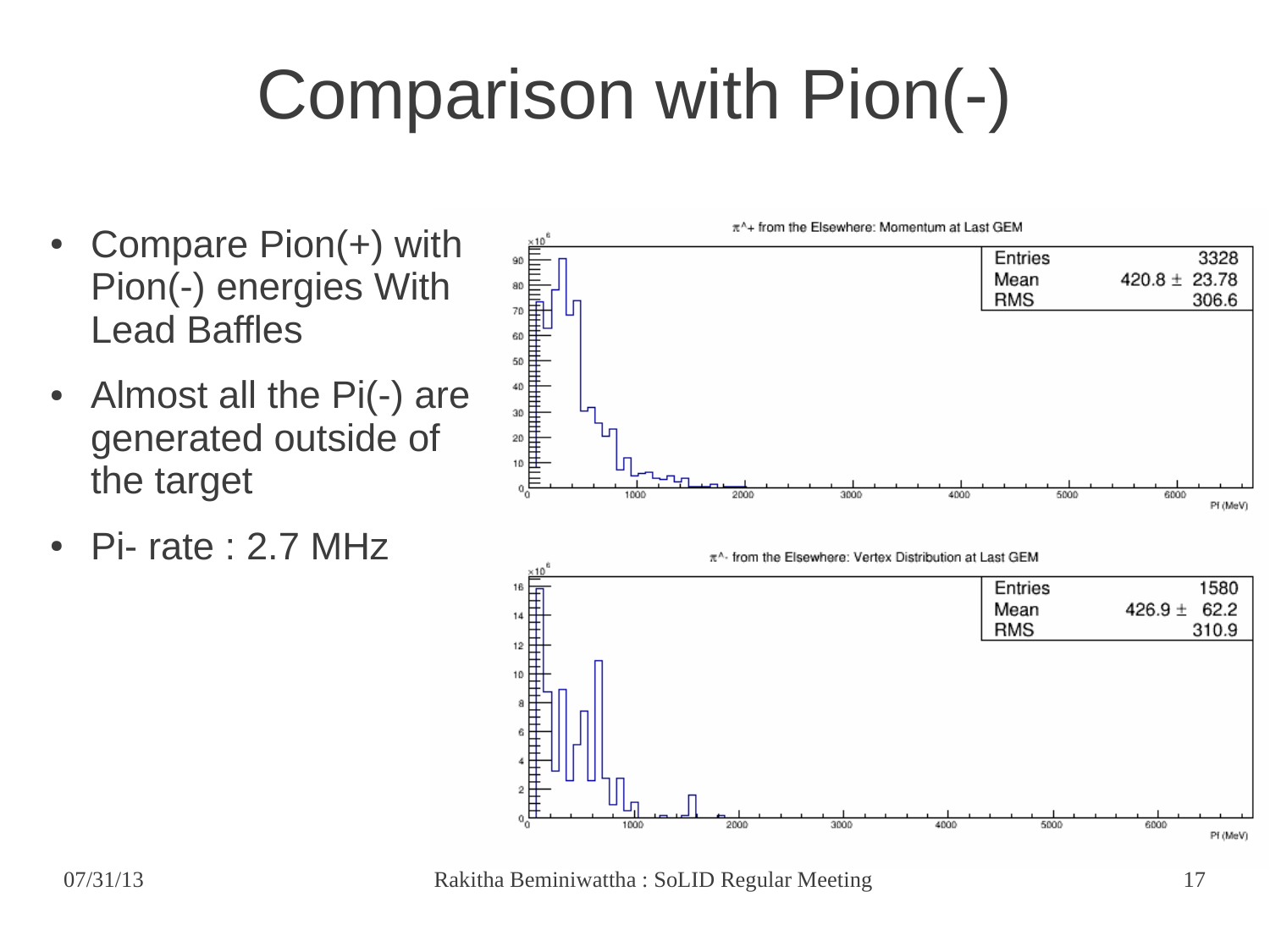## Comparison with Pion(-)

- Compare  $Pion(+)$  with Pion(-) energies With Lead Baffles
- Almost all the Pi(-) are generated outside of the target
- $Pi$  rate : 2.7 MHz



07/31/13 Rakitha Beminiwattha : SoLID Regular Meeting 17